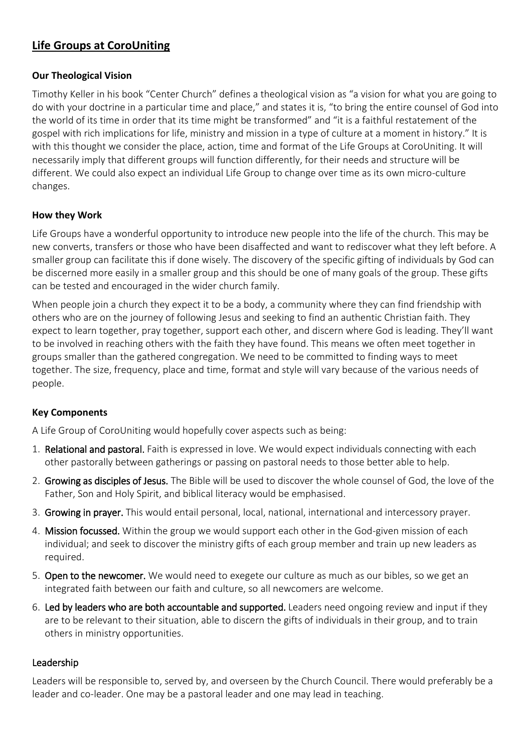# **Life Groups at CoroUniting**

### **Our Theological Vision**

Timothy Keller in his book "Center Church" defines a theological vision as "a vision for what you are going to do with your doctrine in a particular time and place," and states it is, "to bring the entire counsel of God into the world of its time in order that its time might be transformed" and "it is a faithful restatement of the gospel with rich implications for life, ministry and mission in a type of culture at a moment in history." It is with this thought we consider the place, action, time and format of the Life Groups at CoroUniting. It will necessarily imply that different groups will function differently, for their needs and structure will be different. We could also expect an individual Life Group to change over time as its own micro-culture changes.

## **How they Work**

Life Groups have a wonderful opportunity to introduce new people into the life of the church. This may be new converts, transfers or those who have been disaffected and want to rediscover what they left before. A smaller group can facilitate this if done wisely. The discovery of the specific gifting of individuals by God can be discerned more easily in a smaller group and this should be one of many goals of the group. These gifts can be tested and encouraged in the wider church family.

When people join a church they expect it to be a body, a community where they can find friendship with others who are on the journey of following Jesus and seeking to find an authentic Christian faith. They expect to learn together, pray together, support each other, and discern where God is leading. They'll want to be involved in reaching others with the faith they have found. This means we often meet together in groups smaller than the gathered congregation. We need to be committed to finding ways to meet together. The size, frequency, place and time, format and style will vary because of the various needs of people.

## **Key Components**

A Life Group of CoroUniting would hopefully cover aspects such as being:

- 1. Relational and pastoral. Faith is expressed in love. We would expect individuals connecting with each other pastorally between gatherings or passing on pastoral needs to those better able to help.
- 2. Growing as disciples of Jesus. The Bible will be used to discover the whole counsel of God, the love of the Father, Son and Holy Spirit, and biblical literacy would be emphasised.
- 3. Growing in prayer. This would entail personal, local, national, international and intercessory prayer.
- 4. Mission focussed. Within the group we would support each other in the God-given mission of each individual; and seek to discover the ministry gifts of each group member and train up new leaders as required.
- 5. Open to the newcomer. We would need to exegete our culture as much as our bibles, so we get an integrated faith between our faith and culture, so all newcomers are welcome.
- 6. Led by leaders who are both accountable and supported. Leaders need ongoing review and input if they are to be relevant to their situation, able to discern the gifts of individuals in their group, and to train others in ministry opportunities.

#### Leadership

Leaders will be responsible to, served by, and overseen by the Church Council. There would preferably be a leader and co-leader. One may be a pastoral leader and one may lead in teaching.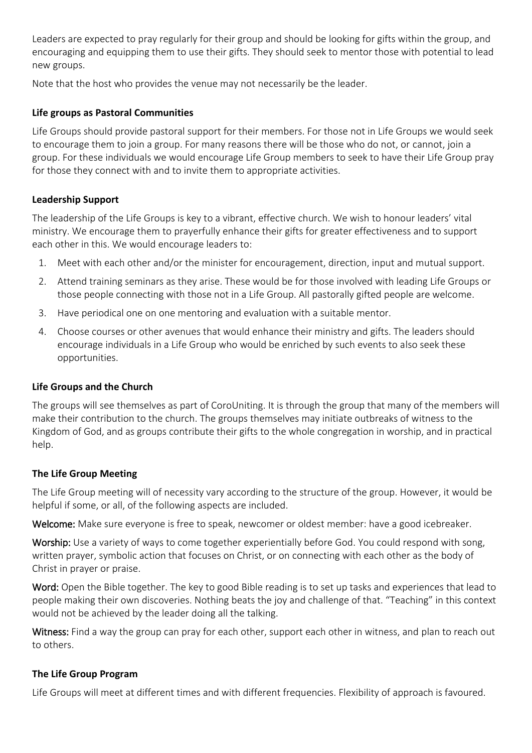Leaders are expected to pray regularly for their group and should be looking for gifts within the group, and encouraging and equipping them to use their gifts. They should seek to mentor those with potential to lead new groups.

Note that the host who provides the venue may not necessarily be the leader.

## **Life groups as Pastoral Communities**

Life Groups should provide pastoral support for their members. For those not in Life Groups we would seek to encourage them to join a group. For many reasons there will be those who do not, or cannot, join a group. For these individuals we would encourage Life Group members to seek to have their Life Group pray for those they connect with and to invite them to appropriate activities.

## **Leadership Support**

The leadership of the Life Groups is key to a vibrant, effective church. We wish to honour leaders' vital ministry. We encourage them to prayerfully enhance their gifts for greater effectiveness and to support each other in this. We would encourage leaders to:

- 1. Meet with each other and/or the minister for encouragement, direction, input and mutual support.
- 2. Attend training seminars as they arise. These would be for those involved with leading Life Groups or those people connecting with those not in a Life Group. All pastorally gifted people are welcome.
- 3. Have periodical one on one mentoring and evaluation with a suitable mentor.
- 4. Choose courses or other avenues that would enhance their ministry and gifts. The leaders should encourage individuals in a Life Group who would be enriched by such events to also seek these opportunities.

#### **Life Groups and the Church**

The groups will see themselves as part of CoroUniting. It is through the group that many of the members will make their contribution to the church. The groups themselves may initiate outbreaks of witness to the Kingdom of God, and as groups contribute their gifts to the whole congregation in worship, and in practical help.

#### **The Life Group Meeting**

The Life Group meeting will of necessity vary according to the structure of the group. However, it would be helpful if some, or all, of the following aspects are included.

Welcome: Make sure everyone is free to speak, newcomer or oldest member: have a good icebreaker.

Worship: Use a variety of ways to come together experientially before God. You could respond with song, written prayer, symbolic action that focuses on Christ, or on connecting with each other as the body of Christ in prayer or praise.

Word: Open the Bible together. The key to good Bible reading is to set up tasks and experiences that lead to people making their own discoveries. Nothing beats the joy and challenge of that. "Teaching" in this context would not be achieved by the leader doing all the talking.

Witness: Find a way the group can pray for each other, support each other in witness, and plan to reach out to others.

#### **The Life Group Program**

Life Groups will meet at different times and with different frequencies. Flexibility of approach is favoured.